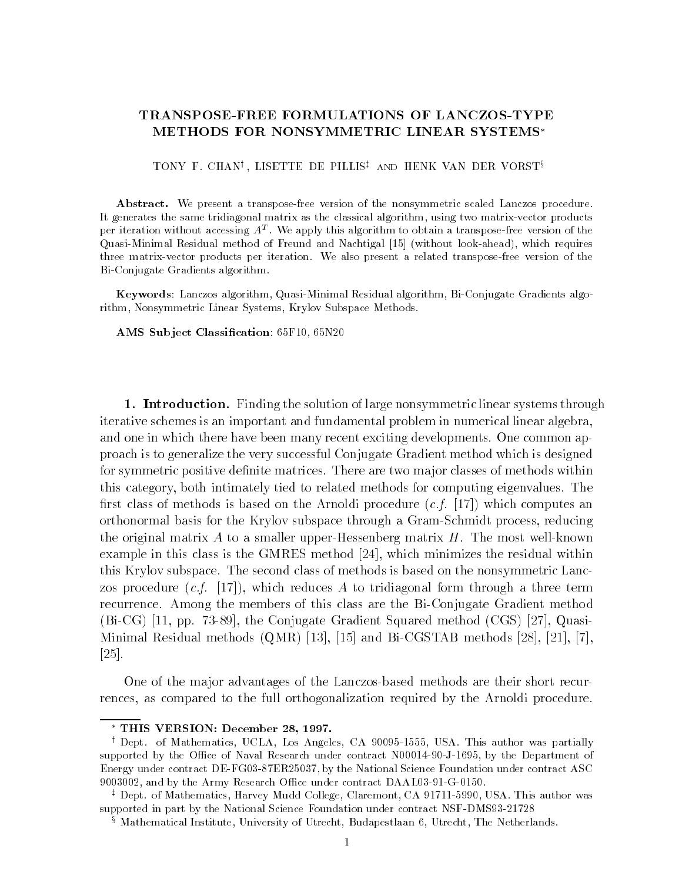## TRANSPOSE-FREE FORMULATIONS OF LANCZOS-TYPE METHODS FOR NONSYMMETRIC LINEAR SYSTEMS

TONI F. CHAN', LISETTE DE FILLIS<sup>t</sup> AND HENK VAN DER VORST<sup>3</sup>

Abstract. We present a transpose-free version of the nonsymmetric scaled Lanczos procedure. It generates the same tridiagonal matrix as the classical algorithm, using two matrix-vector products per iteration without accessing  $A<sup>T</sup>$ . We apply this algorithm to obtain a transpose-free version of the Quasi-Minimal Residual method of Freund and Nachtigal [15] (without look-ahead), which requires three matrix-vector products per iteration. We also present a related transpose-free version of the Bi-Conjugate Gradients algorithm.

Keywords: Lanczos algorithm, Quasi-Minimal Residual algorithm, Bi-Conjugate Gradients algorithm, Nonsymmetric Linear Systems, Krylov Subspace Methods.

AMS Sub ject Classication: 65F10, 65N20

1. Introduction. Finding the solution of large nonsymmetric linear systems through iterative schemes is an important and fundamental problem in numerical linear algebra, and one in which there have been many recent exciting developments. One common approach is to generalize the very successful Conjugate Gradient method which is designed for symmetric positive definite matrices. There are two major classes of methods within this category, both intimately tied to related methods for computing eigenvalues. The first class of methods is based on the Arnoldi procedure  $(c.f. \mid 17)$  which computes an orthonormal basis for the Krylov subspace through a Gram-Schmidt process, reducing the original matrix A to a smaller upper-Hessenberg matrix  $H$ . The most well-known example in this class is the GMRES method [24], which minimizes the residual within this Krylov subspace. The second class of methods is based on the nonsymmetric Lanczos procedure  $(c.f. [17])$ , which reduces A to tridiagonal form through a three term recurrence. Among the members of this class are the Bi-Conjugate Gradient method (Bi-CG) [11, pp. 73-89], the Conjugate Gradient Squared method (CGS) [27], Quasi-Minimal Residual methods (QMR) [13], [15] and Bi-CGSTAB methods [28], [21], [7], [25].

One of the ma jor advantages of the Lanczos-based methods are their short recurrences, as compared to the full orthogonalization required by the Arnoldi procedure.

<sup>x</sup> Mathematical Institute, University of Utrecht, Budapestlaan 6, Utrecht, The Netherlands.

THIS VERSION: December 28, 1997.

<sup>y</sup> Dept. of Mathematics, UCLA, Los Angeles, CA 90095-1555, USA. This author was partially supported by the Office of Naval Research under contract N00014-90-J-1695, by the Department of Energy under contract DE-FG03-87ER25037, by the National Science Foundation under contract ASC 9003002, and by the Army Research Office under contract DAAL03-91-G-0150.

<sup>z</sup> Dept. of Mathematics, Harvey Mudd College, Claremont, CA 91711-5990, USA. This author was supported in part by the National Science Foundation under contract NSF-DMS93-21728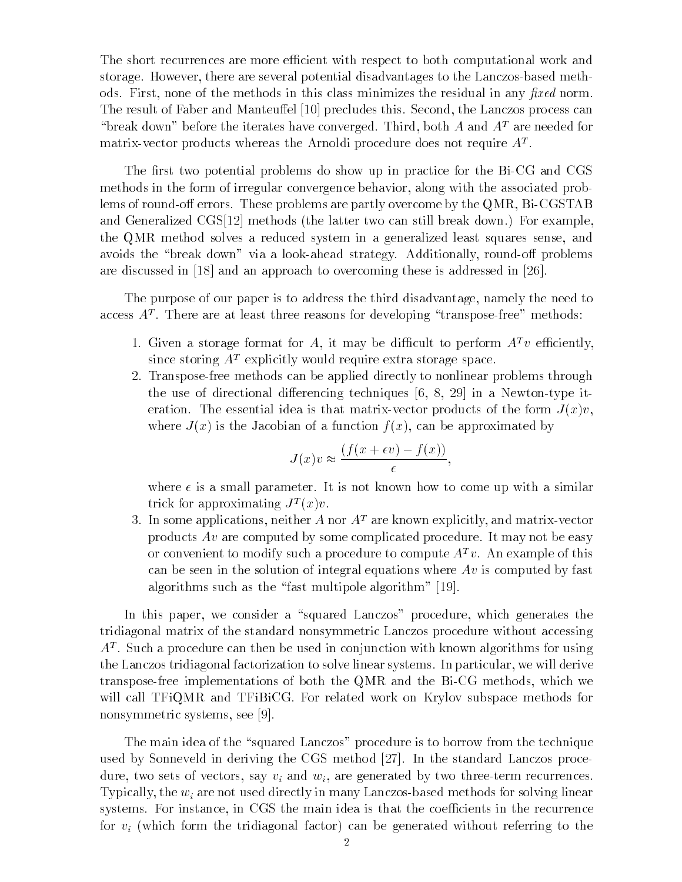The short recurrences are more efficient with respect to both computational work and storage. However, there are several potential disadvantages to the Lanczos-based methods. First, none of the methods in this class minimizes the residual in any fixed norm. The result of Faber and Manteuffel [10] precludes this. Second, the Lanczos process can "break down" before the iterates have converged. Third, both A and  $A<sup>T</sup>$  are needed for  $max$  vector products whereas the Arnoldi procedure does not require  $A^{\pm}$ .

The first two potential problems do show up in practice for the Bi-CG and CGS methods in the form of irregular convergence behavior, along with the associated problems of round-off errors. These problems are partly overcome by the QMR,  $Bi-CGSTAB$ and Generalized CGS[12] methods (the latter two can still break down.) For example, the QMR method solves a reduced system in a generalized least squares sense, and avoids the "break down" via a look-ahead strategy. Additionally, round-off problems are discussed in [18] and an approach to overcoming these is addressed in [26].

The purpose of our paper is to address the third disadvantage, namely the need to access  $A^*$ . There are at least three reasons for developing  $\tau$  transpose-free  $\tau$  methods:

- 1. Given a storage format for A, it may be difficult to perform  $A^T v$  efficiently, since storing  $A<sup>T</sup>$  explicitly would require extra storage space.
- 2. Transpose-free methods can be applied directly to nonlinear problems through the use of directional differencing techniques  $[6, 8, 29]$  in a Newton-type iteration. The essential idea is that matrix-vector products of the form  $J(x)v$ , where  $J(x)$  is the Jacobian of a function  $f(x)$ , can be approximated by

$$
J(x)v \approx \frac{(f(x+\epsilon v)-f(x))}{\epsilon},
$$

where  $\epsilon$  is a small parameter. It is not known how to come up with a similar trick for approximating  $J^-(x)v$ .

3. In some applications, neither A nor  $A<sup>T</sup>$  are known explicitly, and matrix-vector products  $Av$  are computed by some complicated procedure. It may not be easy or convenient to modify such a procedure to compute  $A^T v$ . An example of this can be seen in the solution of integral equations where  $Av$  is computed by fast algorithms such as the "fast multipole algorithm"  $[19]$ .

In this paper, we consider a "squared Lanczos" procedure, which generates the tridiagonal matrix of the standard nonsymmetric Lanczos procedure without accessing AT . Such a procedure can then be used in conjunction with known algorithms for using the Lanczos tridiagonal factorization to solve linear systems. In particular, we will derive transpose-free implementations of both the QMR and the Bi-CG methods, which we will call TFiQMR and TFiBiCG. For related work on Krylov subspace methods for nonsymmetric systems, see [9].

The main idea of the "squared Lanczos" procedure is to borrow from the technique used by Sonneveld in deriving the CGS method [27]. In the standard Lanczos procedure, two sets of vectors, say vi and wi, are generated by two three-term recurrences.  $T$ y protocy, the wights for an are not used  $\mu$  in many Lancach methods for solving  $\alpha$  and  $\alpha$ systems. For instance, in CGS the main idea is that the coefficients in the recurrence for vi (which form the tridiagonal factor) can be generated without referring to the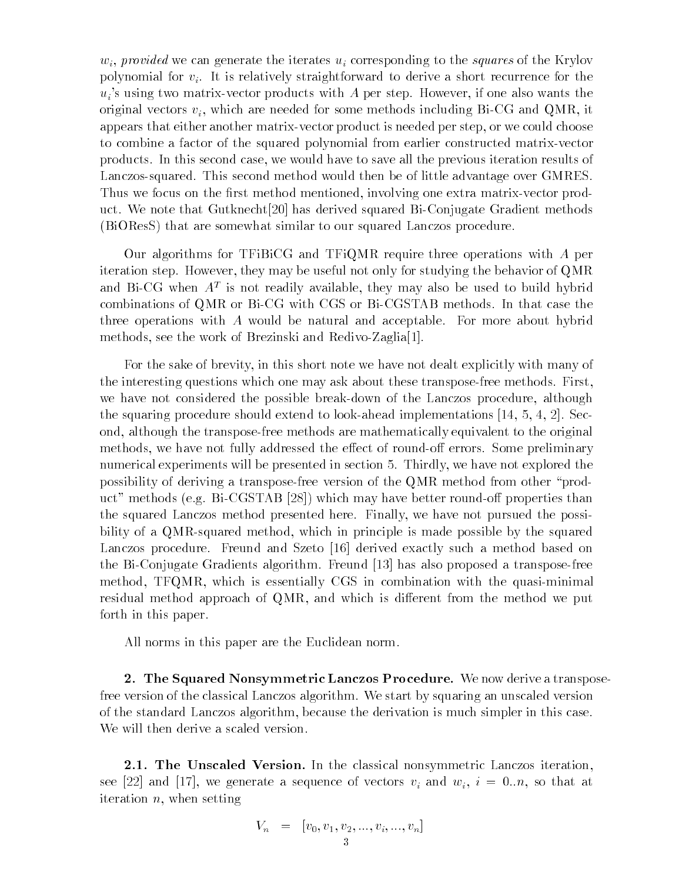wi, provided we can generate the iterates ui corresponding to the squares of the Krylov  $\alpha$ polynomial for  $v_i$ . It is relatively straightforward to derive a short recurrence for the  $u_i$ 's using two matrix-vector products with A per step. However, if one also wants the original vectors  $v_i$ , which are needed for some methods including Bi-CG and QMR, it appears that either another matrix-vector product is needed per step, or we could choose to combine a factor of the squared polynomial from earlier constructed matrix-vector products. In this second case, we would have to save all the previous iteration results of Lanczos-squared. This second method would then be of little advantage over GMRES. Thus we focus on the first method mentioned, involving one extra matrix-vector product. We note that Gutknecht[20] has derived squared Bi-Conjugate Gradient methods (BiOResS) that are somewhat similar to our squared Lanczos procedure.

Our algorithms for TFiBiCG and TFiQMR require three operations with A per iteration step. However, they may be useful not only for studying the behavior of QMR and  $\rm\,D1$  -CG when  $\rm\,A^{+}$  is not readily available, they may also be used to build hybrid combinations of QMR or Bi-CG with CGS or Bi-CGSTAB methods. In that case the three operations with A would be natural and acceptable. For more about hybrid methods, see the work of Brezinski and Redivo-Zaglia[1].

For the sake of brevity, in this short note we have not dealt explicitly with many of the interesting questions which one may ask about these transpose-free methods. First, we have not considered the possible break-down of the Lanczos procedure, although the squaring procedure should extend to look-ahead implementations [14, 5, 4, 2]. Second, although the transpose-free methods are mathematically equivalent to the original methods, we have not fully addressed the effect of round-off errors. Some preliminary numerical experiments will be presented in section 5. Thirdly, we have not explored the possibility of deriving a transpose-free version of the QMR method from other \product" methods (e.g. Bi-CGSTAB [28]) which may have better round-off properties than the squared Lanczos method presented here. Finally, we have not pursued the possibility of a QMR-squared method, which in principle is made possible by the squared Lanczos procedure. Freund and Szeto [16] derived exactly such a method based on the Bi-Conjugate Gradients algorithm. Freund [13] has also proposed a transpose-free method, TFQMR, which is essentially CGS in combination with the quasi-minimal residual method approach of QMR, and which is different from the method we put forth in this paper.

All norms in this paper are the Euclidean norm.

2. The Squared Nonsymmetric Lanczos Procedure. We now derive a transposefree version of the classical Lanczos algorithm. We start by squaring an unscaled version of the standard Lanczos algorithm, because the derivation is much simpler in this case. We will then derive a scaled version.

2.1. The Unscaled Version. In the classical nonsymmetric Lanczos iteration, see [22] and [22] and [22] and [22] and wi, i and wi, i and wi, i and wi, i and wi, i and wi, i and wi, so that at a iteration n, when setting

$$
V_n = [v_0, v_1, v_2, ..., v_i, ..., v_n]
$$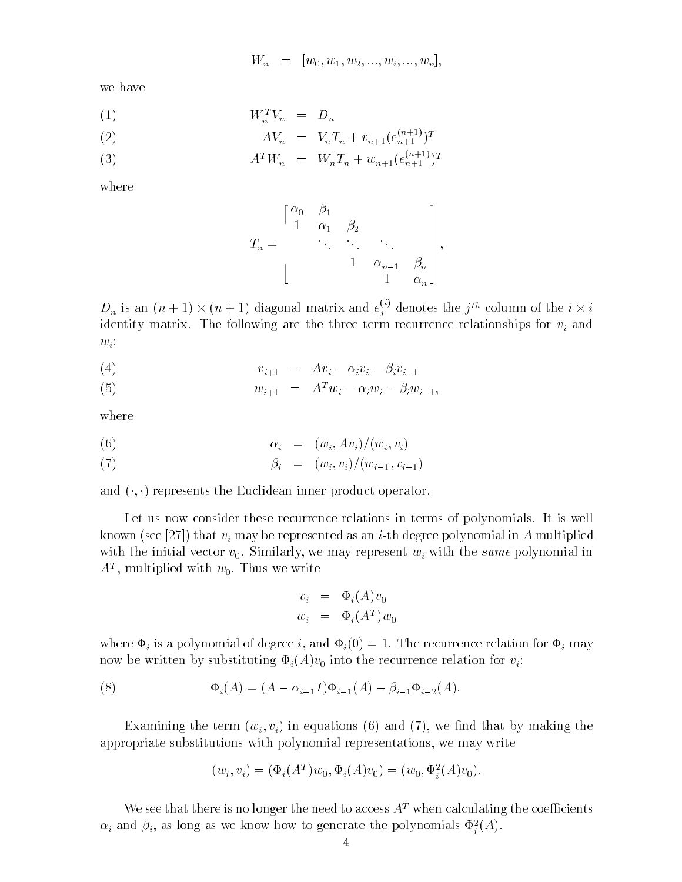$$
W_n = [w_0, w_1, w_2, ..., w_i, ..., w_n],
$$

we have

$$
(1) \t\t W_n^T V_n = D_n
$$

(2) 
$$
AV_n = V_n T_n + v_{n+1} (e_{n+1}^{(n+1)})^T
$$

(3) 
$$
A^T W_n = W_n T_n + w_{n+1} (e_{n+1}^{(n+1)})^T
$$

where

$$
T_n = \begin{bmatrix} \alpha_0 & \beta_1 & & & \\ 1 & \alpha_1 & \beta_2 & & \\ & \ddots & \ddots & \ddots & \\ & & 1 & \alpha_{n-1} & \beta_n \\ & & & 1 & \alpha_n \end{bmatrix},
$$

 $D_n$  is an  $(n + 1) \times (n + 1)$  diagonal matrix and  $e_i^{y}$  d  $i$  denotes the  $j^{\text{th}}$  column of the  $i \times i$ identity matrix. The following are three three terms for measure relationships for via  $\eta$  and  $\eta$  $w_i$ :

$$
(4) \t v_{i+1} = Av_i - \alpha_i v_i - \beta_i v_{i-1}
$$

(5) 
$$
w_{i+1} = A^T w_i - \alpha_i w_i - \beta_i w_{i-1},
$$

where

$$
\alpha_i = (w_i, Av_i)/(w_i, v_i)
$$

(7) 
$$
\beta_i = (w_i, v_i)/(w_{i-1}, v_{i-1})
$$

and  $(\cdot, \cdot)$  represents the Euclidean inner product operator.

Let us now consider these recurrence relations in terms of polynomials. It is well known (see [27]) that vi may be represented as an i-th degree polynomial in A multiplied in  $\alpha$ with the initial vector  $v_0$ . Similarly, we may represent  $w_i$  with the same polynomial in  $A^{\perp}$ , multiplied with  $w_0$ . Thus we write

$$
v_i = \Phi_i(A)v_0
$$
  

$$
w_i = \Phi_i(A^T)w_0
$$

where is a polynomial of degree is a polynomial of degree in the recurrence relation for indicate relation for i now be written by substituting  $\Phi_i(A)v_0$  into the recurrence relation for  $v_i$ :

(8) 
$$
\Phi_i(A) = (A - \alpha_{i-1}I)\Phi_{i-1}(A) - \beta_{i-1}\Phi_{i-2}(A).
$$

Examining the term  $(w_i, v_i)$  in equations (6) and (7), we find that by making the appropriate substitutions with polynomial representations, we may write

$$
(w_i, v_i) = (\Phi_i(A^T)w_0, \Phi_i(A)v_0) = (w_0, \Phi_i^2(A)v_0).
$$

We see that there is no longer the need to access  $A<sup>T</sup>$  when calculating the coefficients  $\alpha_i$  and  $\beta_i$ , as long as we know how to generate the polynomials  $\Psi_i(A)$ .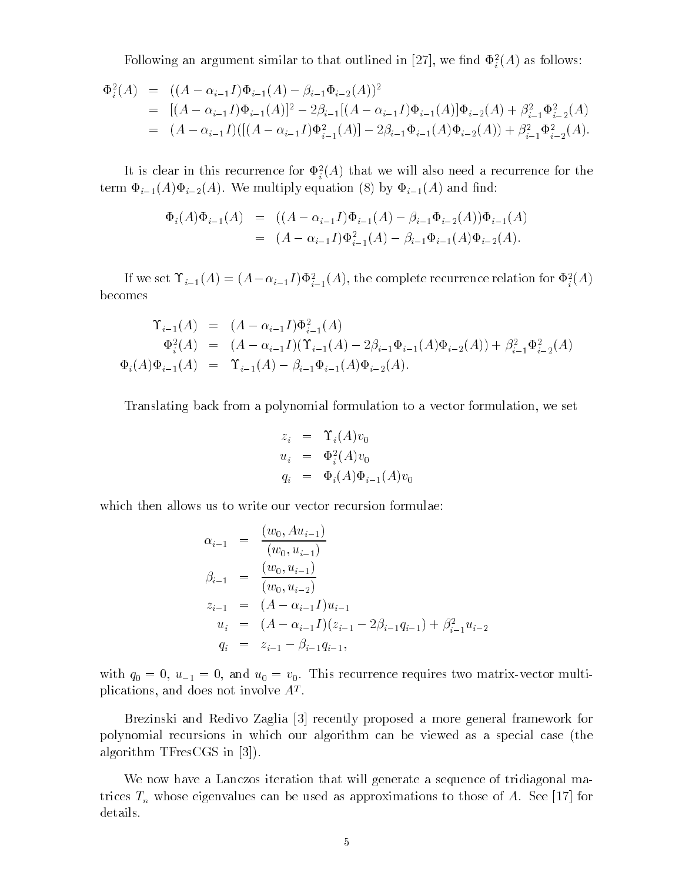Following an argument similar to that outlined in [27], we find  $\Psi_i^{\tau}(A)$  as follows:

$$
\begin{split} \Phi_i^2(A) &= \left( (A - \alpha_{i-1}I)\Phi_{i-1}(A) - \beta_{i-1}\Phi_{i-2}(A) \right)^2 \\ &= \left[ (A - \alpha_{i-1}I)\Phi_{i-1}(A) \right]^2 - 2\beta_{i-1} \left[ (A - \alpha_{i-1}I)\Phi_{i-1}(A) \right] \Phi_{i-2}(A) + \beta_{i-1}^2 \Phi_{i-2}^2(A) \\ &= \left. (A - \alpha_{i-1}I)(\left[ (A - \alpha_{i-1}I)\Phi_{i-1}^2(A) \right] - 2\beta_{i-1}\Phi_{i-1}(A)\Phi_{i-2}(A) \right) + \beta_{i-1}^2 \Phi_{i-2}^2(A). \end{split}
$$

It is clear in this recurrence for  $\Psi_i^{\dagger}$  and we will also need a recurrence for the iterm  $\Phi_{i-1}(A)\Phi_{i-2}(A)$ . We multiply equation (8) by  $\Phi_{i-1}(A)$  and find:

$$
\begin{array}{rcl}\n\Phi_i(A)\Phi_{i-1}(A) & = & \left( (A - \alpha_{i-1}I)\Phi_{i-1}(A) - \beta_{i-1}\Phi_{i-2}(A)\right)\Phi_{i-1}(A) \\
& = & \left( A - \alpha_{i-1}I\right)\Phi_{i-1}^2(A) - \beta_{i-1}\Phi_{i-1}(A)\Phi_{i-2}(A).\n\end{array}
$$

If we set  $i_{i-1}(A) = (A - a_{i-1}I) \Psi_{i-1}(A)$ , the complete recurrence relation for  $\Psi_i(A)$ becomes

$$
\begin{array}{rcl}\n\Upsilon_{i-1}(A) & = & (A - \alpha_{i-1}I)\Phi_{i-1}^2(A) \\
& \Phi_i^2(A) & = & (A - \alpha_{i-1}I)(\Upsilon_{i-1}(A) - 2\beta_{i-1}\Phi_{i-1}(A)\Phi_{i-2}(A)) + \beta_{i-1}^2\Phi_{i-2}^2(A) \\
\Phi_i(A)\Phi_{i-1}(A) & = & \Upsilon_{i-1}(A) - \beta_{i-1}\Phi_{i-1}(A)\Phi_{i-2}(A).\n\end{array}
$$

Translating back from a polynomial formulation to a vector formulation, we set

$$
z_i = \Upsilon_i(A)v_0
$$
  
\n
$$
u_i = \Phi_i^2(A)v_0
$$
  
\n
$$
q_i = \Phi_i(A)\Phi_{i-1}(A)v_0
$$

which then allows us to write our vector recursion formulae:

$$
\alpha_{i-1} = \frac{(w_0, Au_{i-1})}{(w_0, u_{i-1})}
$$
\n
$$
\beta_{i-1} = \frac{(w_0, u_{i-1})}{(w_0, u_{i-2})}
$$
\n
$$
z_{i-1} = (A - \alpha_{i-1}I)u_{i-1}
$$
\n
$$
u_i = (A - \alpha_{i-1}I)(z_{i-1} - 2\beta_{i-1}q_{i-1}) + \beta_{i-1}^2 u_{i-2}
$$
\n
$$
q_i = z_{i-1} - \beta_{i-1}q_{i-1},
$$

with  $q_0 = 0$ ,  $u_{-1} = 0$ , and  $u_0 = v_0$ . This recurrence requires two matrix-vector multiplications, and does not involve AT .

Brezinski and Redivo Zaglia [3] recently proposed a more general framework for polynomial recursions in which our algorithm can be viewed as a special case (the algorithm TFresCGS in [3]).

We now have a Lanczos iteration that will generate a sequence of tridiagonal matrices  $\mathcal{M}$  whose eigenvalues can be used as approximations to those of A. See [17] for details.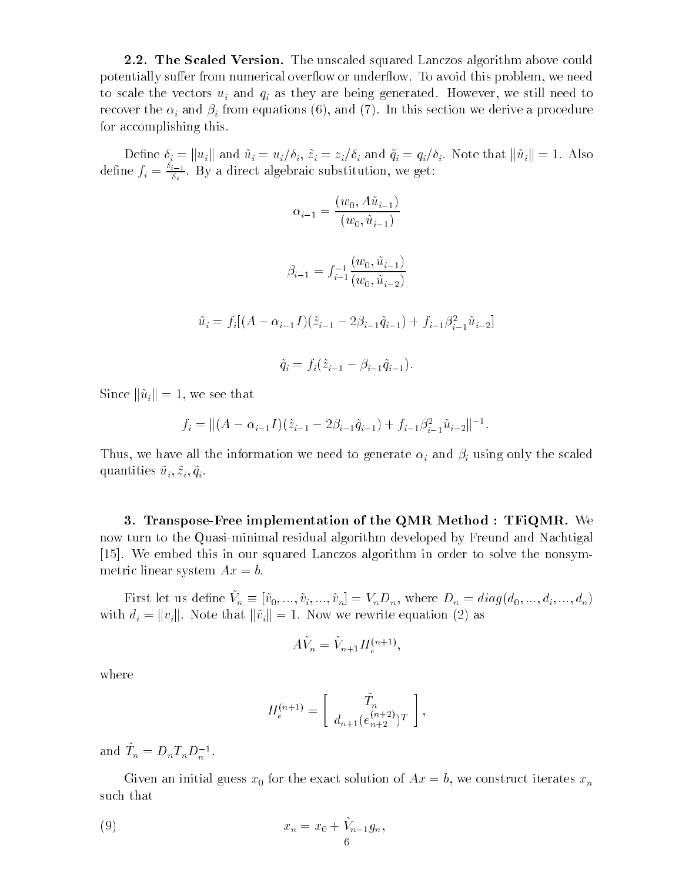**2.2. The Scaled Version.** The unscaled squared Lanczos algorithm above could potentially suffer from numerical overflow or underflow. To avoid this problem, we need to scale the vectors under and  $\alpha$  as they are being generated. However, we still need to the still need to the still need to the still need to the still need to the still need to the still need to the still need to the recover the influence  $\{f_i\}$  and  $\{f_i\}$  and  $\{f_i\}$  , and (7). In this section we derive a procedure for accomplishing this.

 $\mathbb{P}^1 \subset \mathbb{P}^1$  in the contract and  $\mathbb{P}^1$  and  $\mathbb{P}^1$  and  $\mathbb{P}^1$  and  $\mathbb{P}^1$  . Also that ku $\mathbb{P}^1$  is that ku $\mathbb{P}^1$ define  $f_i = \frac{v_{i+1}}{\delta_i}$ . By a direct algebraic substitution, we get:

$$
\alpha_{i-1} = \frac{(w_0, A\tilde{u}_{i-1})}{(w_0, \tilde{u}_{i-1})}
$$
  

$$
\beta_{i-1} = f_{i-1}^{-1} \frac{(w_0, \tilde{u}_{i-1})}{(w_0, \tilde{u}_{i-2})}
$$
  

$$
\tilde{u}_i = f_i[(A - \alpha_{i-1}I)(\tilde{z}_{i-1} - 2\beta_{i-1}\tilde{q}_{i-1}) + f_{i-1}\beta_{i-1}^2\tilde{u}_{i-2}]
$$
  

$$
\tilde{q}_i = f_i(\tilde{z}_{i-1} - \beta_{i-1}\tilde{q}_{i-1}).
$$

Since  $\|\tilde{u}_i\|=1$ , we see that

$$
f_i = ||(A - \alpha_{i-1}I)(\tilde{z}_{i-1} - 2\beta_{i-1}\tilde{q}_{i-1}) + f_{i-1}\beta_{i-1}^2\tilde{u}_{i-2}||^{-1}.
$$

Thus, we need to all the information we need to generate in the scale in the scale  $\omega$  and  $\omega$ quantities  $\tilde{u}_i, \tilde{z}_i, \tilde{q}_i$ .

3. Transpose-Free implementation of the QMR Method : TFiQMR. We now turn to the Quasi-minimal residual algorithm developed by Freund and Nachtigal [15]. We embed this in our squared Lanczos algorithm in order to solve the nonsymmetric linear system  $Ax = b$ .

First let us define  $V_n \equiv [v_0, ..., v_i, ..., v_n] - v_n D_n$ , where  $D_n = u_i a g(u_0, ..., u_i, ..., u_n)$ with distribution different terms of  $\mathbf{A}$  as  $\mathbf{A}$  as  $\mathbf{A}$  as  $\mathbf{A}$  as  $\mathbf{A}$  as  $\mathbf{A}$  as  $\mathbf{A}$  as  $\mathbf{A}$  as  $\mathbf{A}$  as  $\mathbf{A}$  as  $\mathbf{A}$  as  $\mathbf{A}$  as  $\mathbf{A}$  as  $\mathbf{A}$  as  $\mathbf{A}$  as  $\mathbf$ 

$$
A\tilde{V}_n = \tilde{V}_{n+1} H_e^{(n+1)},
$$

where

$$
H_e^{(n+1)} = \left[ \begin{array}{c} \tilde{T}_n \\ d_{n+1} \left( e_{n+2}^{(n+2)} \right) T \end{array} \right],
$$

;

and  $I_n = D_n I_n D_n$ .

Given an initial guess  $x_0$  for the exact solution of  $Ax = b$ , we construct iterates  $x_n$ such that

 $,$ 

(9) 
$$
x_n = x_0 + \tilde{V}_{n-1}g_n
$$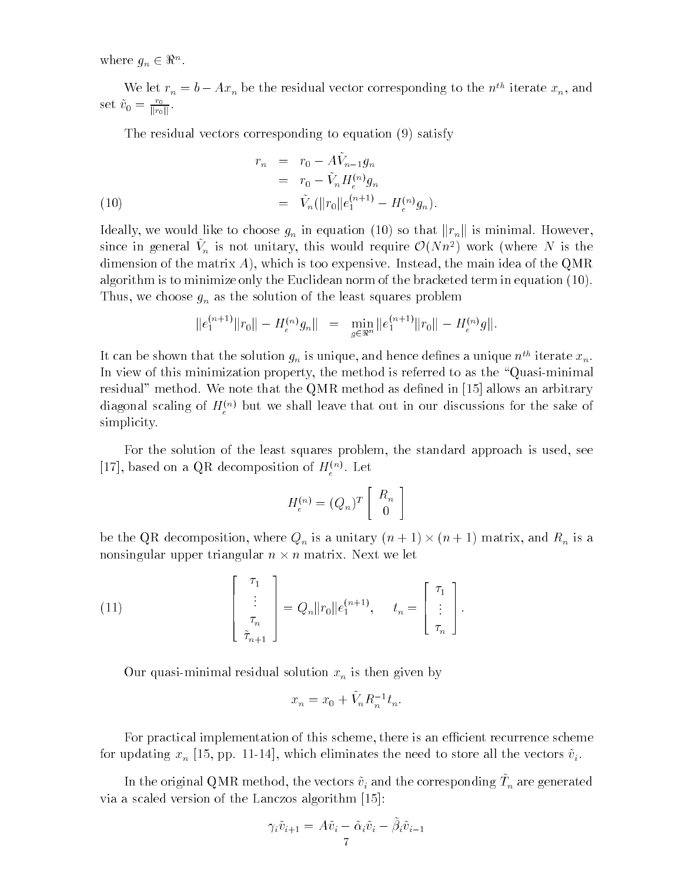where  $g_n \in \mathfrak{n}^n$ .

We let  $r_n = v - Ax_n$  be the residual vector corresponding to the  $n^m$  iterate  $x_n$ , and set  $\tilde{v}_0 = \frac{r_0}{\prod_{r \in \mathbb{N}}}$ kroti kr

The residual vectors corresponding to equation (9) satisfy

(10)  
\n
$$
r_{n} = r_{0} - AV_{n-1}g_{n}
$$
\n
$$
= r_{0} - \tilde{V}_{n}H_{e}^{(n)}g_{n}
$$
\n
$$
= \tilde{V}_{n}(\|r_{0}\|e_{1}^{(n+1)} - H_{e}^{(n)}g_{n}).
$$

Ideally, we would like to choose  $g_R$  in equation (10) so that kristing is minimal. However,  $\sim$ since in general  $v_n$  is not unitary, this would require  $\mathcal{O}(N n^2)$  work (where N is the dimension of the matrix  $A$ ), which is too expensive. Instead, the main idea of the QMR algorithm is to minimize only the Euclidean norm of the bracketed term in equation (10). Thus, we choose give choose gn as the solution of the solution of the solution of the least squares problem in  $\mathbf{I}$ 

$$
||e_1^{(n+1)}||r_0|| - H_e^{(n)}g_n|| = \min_{g \in \mathbb{R}^n} ||e_1^{(n+1)}||r_0|| - H_e^{(n)}g||.
$$

It can be shown that the solution  $g_n$  is unique, and hence defines a unique  $n^m$  iterate  $x_n$ . In view of this minimization property, the method is referred to as the "Quasi-minimal" residual" method. We note that the QMR method as defined in  $[15]$  allows an arbitrary diagonal scaling of  $H_{\epsilon}^{\gamma\gamma}$  but we shall leave that out in our discussions for the sake of simplicity.

For the solution of the least squares problem, the standard approach is used, see [17], based on a QR decomposition of  $H_e^{(n)}$ . Let

$$
H_e^{(n)} = (Q_n)^T \left[ \begin{array}{c} R_n \\ 0 \end{array} \right]
$$

be the Qr decomposition, where  $\mathbf{v}_h$  is a unitary (n + 1) - (n + 1) - and respectively and Rn is a nonsingular upper triangular n - n matrix. Next we let

(11) 
$$
\begin{bmatrix} \tau_1 \\ \vdots \\ \tau_n \\ \tilde{\tau}_{n+1} \end{bmatrix} = Q_n ||r_0|| e_1^{(n+1)}, \quad t_n = \begin{bmatrix} \tau_1 \\ \vdots \\ \tau_n \end{bmatrix}.
$$

Our quasi-minimal residual solution xn is then given by

$$
x_n = x_0 + \tilde{V}_n R_n^{-1} t_n.
$$

For practical implementation of this scheme, there is an efficient recurrence scheme for all datased which is built and store all the store all the store all the vectors  $\alpha$  in the vectors  $\alpha$ 

In the original QMR method, the vectors  $v_i$  and the corresponding  $T_n$  are generated via a scaled version of the Lanczos algorithm [15]:

$$
\gamma_i \tilde{v}_{i+1} = A \tilde{v}_i - \tilde{\alpha}_i \tilde{v}_i - \tilde{\beta}_i \tilde{v}_{i-1}
$$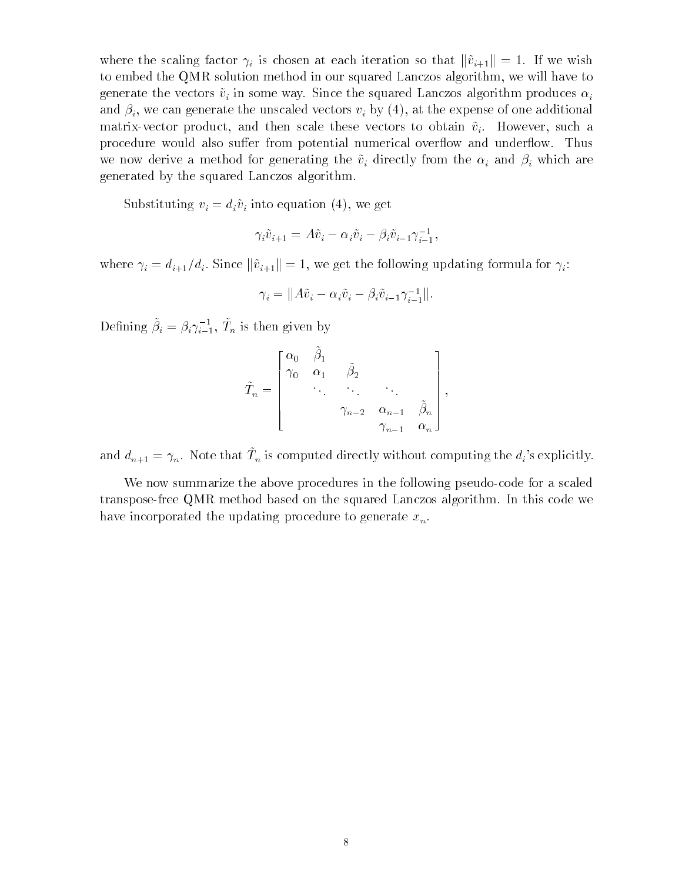where the scaling factor  $\mu$  is chosen at each iteration so that  $\|\cdot\|_1\|$  = 1. If we wish to embed the QMR solution method in our squared Lanczos algorithm, we will have to  $\mathcal{C}$  in some way. Since the some way. Since the some way. Since the some way. Since the some way. Since the some way. Since the some way. Since the some way. Since the some way. Since the some way. Since the some way. and if  $\mathcal{U}$  is a canonical canonical the unscaled vectors via  $\mathcal{U}$  and  $\mathcal{U}$  at the expense of one additional canonical canonical canonical canonical canonical canonical canonical canonical canonical canonical matrix-vector product, and then scale these vectors to obtain  $\tilde{v}_i$ . However, such a procedure would also suffer from potential numerical overflow and underflow. Thus we now derive a method for a method for a method for an intervention  $\mathbf{v}_i$  and intervention  $\mathbf{v}_i$  and intervention  $\mathbf{v}_i$  and intervention  $\mathbf{v}_i$  and intervention  $\mathbf{v}_i$  and intervention  $\mathbf{v}_i$  and int generated by the squared Lanczos algorithm.

 $S$  into the divorped via  $\{1, 1, \ldots, n\}$  into  $\{1, 1, \ldots, n\}$  in equation (4), we get the set of  $\{1, 1, \ldots, n\}$ 

$$
\gamma_i \tilde{v}_{i+1} = A \tilde{v}_i - \alpha_i \tilde{v}_i - \beta_i \tilde{v}_{i-1} \gamma_{i-1}^{-1},
$$

where  $i \in \{1,\ldots,n+1\}$  is since  $\mathbb{I} \setminus \{1\}$  . The following formula formula for  $\mathbb{I} \setminus \{1\}$ 

$$
\gamma_i = ||A\tilde{v}_i - \alpha_i \tilde{v}_i - \beta_i \tilde{v}_{i-1} \gamma_{i-1}^{-1}||.
$$

Defining  $\beta_i = \beta_i \gamma_{i-1}, \ I_n$  is then given by

$$
\tilde{T}_n = \begin{bmatrix} \alpha_0 & \beta_1 \\ \gamma_0 & \alpha_1 & \tilde{\beta}_2 \\ & \ddots & \ddots & \ddots \\ & & \gamma_{n-2} & \alpha_{n-1} & \tilde{\beta}_n \\ & & & \gamma_{n-1} & \alpha_n \end{bmatrix},
$$

and  $d_{n+1} = \gamma_n$ . Note that  $T_n$  is computed directly without computing the  $d_i$ 's explicitly.

We now summarize the above procedures in the following pseudo-code for a scaled transpose-free QMR method based on the squared Lanczos algorithm. In this code we have incorporated the updating procedure to generate  $x_n$ .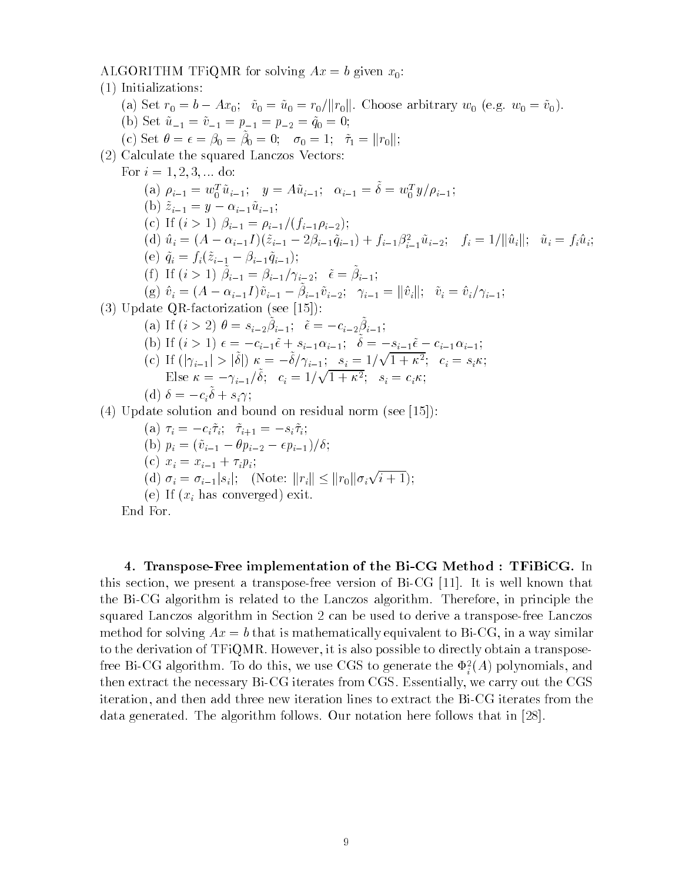ALGORITHM TFiQMR for solving  $Ax = b$  given  $x_0$ :

(1) Initializations: (a) Set  $r_0 = b - Ax_0;$   $\tilde{v}_0 = \tilde{u}_0 = r_0/||r_0||$ . Choose arbitrary  $w_0$  (e.g.  $w_0 = \tilde{v}_0$ ). (b) Set  $\tilde{u}_{-1} = \tilde{v}_{-1} = p_{-1} = p_{-2} = \tilde{q}_0 = 0;$ (c) Set  $v = \epsilon = \rho_0 = \rho_0 = 0$ ,  $v_0 = 1$ ,  $\tau_1 = ||r_0||$ , (2) Calculate the squared Lanczos Vectors: For  $i = 1, 2, 3, \dots$  do: (a)  $\rho_{i-1} = w_0^u u_{i-1}; \quad y = A u_{i-1}; \quad \alpha_{i-1} = \sigma = w_0^u y / \rho_{i-1};$ (b)  $\tilde{z}_{i-1} = y - \alpha_{i-1}\tilde{u}_{i-1};$ (c) If  $(i > 1)$   $\beta_{i-1} = \rho_{i-1}/(f_{i-1}\rho_{i-2});$  $\mathcal{L}(\mathbf{u})$   $u_i = (A - \alpha_{i-1}I)(z_{i-1} - 2\beta_{i-1}q_{i-1}) + J_{i-1}\beta_{i-1}^{-1}u_{i-2}, \quad J_i = 1/\|\mathbf{u}_i\|, \quad u_i = J_i u_i,$  $\lambda = \lambda$  and  $\lambda = \lambda$  in  $\lambda = \lambda$  in  $\lambda = \lambda$  in  $\lambda = \lambda$  in  $\lambda = \lambda$  in  $\lambda = \lambda$  in  $\lambda = \lambda$  in  $\lambda = \lambda$  in  $\lambda = \lambda$  in  $\lambda = \lambda$  in  $\lambda = \lambda$  in  $\lambda = \lambda$  in  $\lambda = \lambda$  in  $\lambda = \lambda$  in  $\lambda = \lambda$  in  $\lambda = \lambda$  in  $\lambda = \lambda$  in  $\lambda = \lambda$  in  $\lambda = \lambda$  in (1) If  $(i > 1)$   $\beta_{i-1} = \beta_{i-1} / \gamma_{i-2}, \quad \epsilon = \beta_{i-1},$  $\alpha_{i}^{(g)}$   $v_{i}^{'} = (A - \alpha_{i-1}^{i}I) v_{i-1}^{'} - \beta_{i-1}^{i} v_{i-2}^{'}$ ,  $v_{i-1}^{'} = ||v_{i}^{'}||$ ,  $v_{i}^{'} = v_{i}^{'}v_{i-1}^{'}$ (3) Update QR-factorization (see [15]): (d) If  $(i > 2)$   $\theta = s_{i-2}^{\prime}p_{i-1}^{\prime}, \quad \epsilon = -c_{i-2}^{\prime}p_{i-1}^{\prime},$ (b) If  $(i > 1)$   $\epsilon = -c_{i-1}\epsilon + s_{i-1}\alpha_{i-1}$ ,  $v = -s_{i-1}\epsilon - c_{i-1}\alpha_{i-1}$ , (c) If  $(|\gamma_{i-1}| > |\delta|) \kappa = -\delta/\gamma_{i-1}; s_i = 1/\sqrt{1+\kappa^2}; c_i = s_i \kappa;$ Else  $\kappa = -\gamma_{i-1}/\delta$ ;  $c_i = 1/\sqrt{1+\kappa^2}$ ;  $s_i = c_i \kappa$ ; i $(u)$   $v = -c_i v + s_i$ ; i(4) Update solution and bound on residual norm (see [15]):  $\lambda$  i  $\lambda$  ii  $\lambda$  ii  $\lambda$  ii  $\lambda$  ii  $\lambda$  ii  $\lambda$  ii  $\lambda$  ii  $\lambda$  ii  $\lambda$  ii  $\lambda$  ii  $\lambda$  ii  $\lambda$  ii  $\lambda$  ii  $\lambda$  ii  $\lambda$  ii  $\lambda$  ii  $\lambda$  ii  $\lambda$  ii  $\lambda$  ii  $\lambda$  ii  $\lambda$  ii  $\lambda$  ii  $\lambda$  ii  $\lambda$  ii  $\lambda$  ii  $\lambda$  ii  $\lambda$  i (b)  $p \cdot p$  is proposed to  $p \cdot p$  if  $p \cdot p$  is proposed to  $p \cdot p$  . If  $p \cdot p$  is proposed to  $p \cdot p$  is a proposed to  $p \cdot p$  is a proposed of  $p \cdot p$  is a proposed of  $p \cdot p$  is a proposed of  $p \cdot p$  is a proposed of  $p \cdot p$  is  $\sqrt{u}$   $\sqrt{u}$   $\sqrt{u}$  $u-1$   $u$ , (d)  $\sigma_i = \sigma_{i-1}|s_i|;$  (Note:  $||r_i|| \leq ||r_0|| \sigma_i \sqrt{i+1};$ 

End For.

 $\mathcal{E}$  if  $\mathcal{E}$  is a convergence of  $\mathcal{E}$  . The convergence of  $\mathcal{E}$  is a convex of  $\mathcal{E}$  is a convex of  $\mathcal{E}$  is a convex of  $\mathcal{E}$  is a convex of  $\mathcal{E}$  is a convex of  $\mathcal{E}$  is a convex of  $\mathcal{E$ 

4. Transpose-Free implementation of the Bi-CG Method : TFiBiCG. In this section, we present a transpose-free version of Bi-CG [11]. It is well known that the Bi-CG algorithm is related to the Lanczos algorithm. Therefore, in principle the squared Lanczos algorithm in Section 2 can be used to derive a transpose-free Lanczos method for solving  $Ax = b$  that is mathematically equivalent to Bi-CG, in a way similar to the derivation of TFiQMR. However, it is also possible to directly obtain a transpose-Hee Bi-CG algorithm. To do this, we use CGS to generate the  $\Psi_i^{\pm}(A)$  polynomials, and ithen extract the necessary Bi-CG iterates from CGS. Essentially, we carry out the CGS iteration, and then add three new iteration lines to extract the Bi-CG iterates from the data generated. The algorithm follows. Our notation here follows that in [28].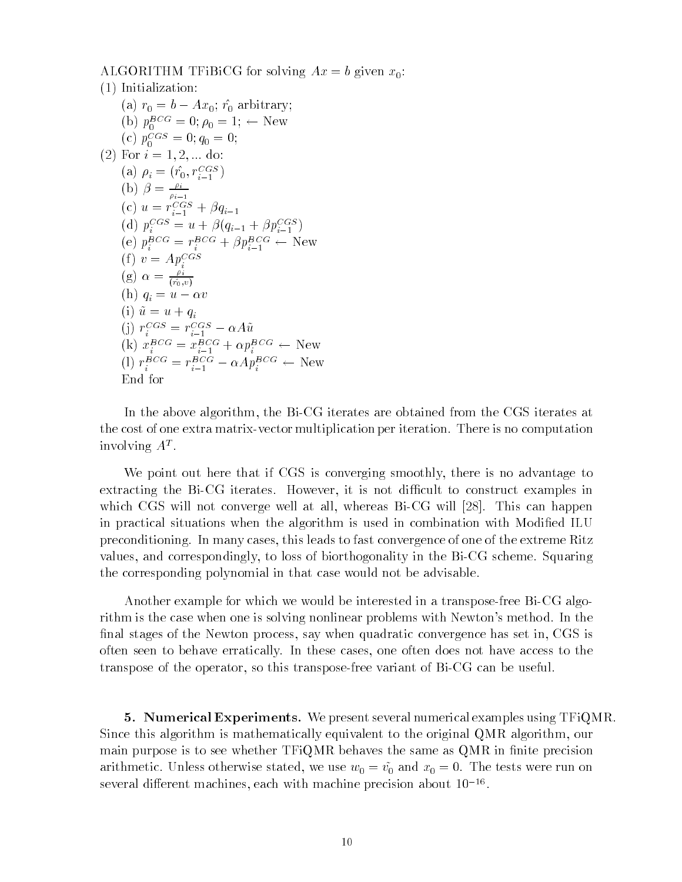ALGORITHM TFiBiCG for solving  $Ax = b$  given  $x_0$ : (1) Initialization: (a)  $r_0 = b - Ax_0$ ;  $\hat{r_0}$  arbitrary; (b)  $p_0^2 = 0$ ;  $p_0 = 1$ ;  $\leftarrow$  New (c)  $p_0^{\text{csc}} = 0$ ;  $q_0 = 0$ ; (2) For  $i = 1, 2, ...$  do: (a)  $\rho_i = (r_0, r_{i-1} - )$  $i-1$  ) (b)  $\beta = \frac{\mu_i}{\rho_{i-1}}$ (c)  $u = r_{i-1} - \mu q_{i-1}$ (a)  $p_i^{\text{max}} = u + p(q_{i-1} + pp_{i-1}^{\text{max}})$  $i-1$  ) (e)  $p_i^2 = r_i^2 - \mu p_{i-1}^2 - \mu w$ (f)  $v = Ap_i^{CGS}$ (g)  $\alpha = \frac{\rho_i}{(\hat{r}_0,v)}$  $\lambda \rightarrow 1$   $\lambda$  $\sqrt{t}$   $\sqrt{u}$   $\sqrt{u}$   $\sqrt{u}$ (j)  $r_i^{\epsilon} = r_{i-1}^{\epsilon} = \alpha A u$ (k)  $x_i^2 = x_{i-1}^2 + \alpha p_i^2 = \alpha$  New (1)  $r_i^2 = r_{i-1}^2 - \alpha A p_i^2 = \alpha$  New End for

In the above algorithm, the Bi-CG iterates are obtained from the CGS iterates at the cost of one extra matrix-vector multiplication per iteration. There is no computation  $\max$  and  $\max$   $\sum$ 

We point out here that if CGS is converging smoothly, there is no advantage to extracting the Bi-CG iterates. However, it is not difficult to construct examples in which CGS will not converge well at all, whereas Bi-CG will [28]. This can happen in practical situations when the algorithm is used in combination with Modied ILU preconditioning. In many cases, this leads to fast convergence of one of the extreme Ritz values, and correspondingly, to loss of biorthogonality in the Bi-CG scheme. Squaring the corresponding polynomial in that case would not be advisable.

Another example for which we would be interested in a transpose-free Bi-CG algorithm is the case when one is solving nonlinear problems with Newton's method. In the final stages of the Newton process, say when quadratic convergence has set in, CGS is often seen to behave erratically. In these cases, one often does not have access to the transpose of the operator, so this transpose-free variant of Bi-CG can be useful.

5. Numerical Experiments. We present several numerical examples using TFiQMR. Since this algorithm is mathematically equivalent to the original QMR algorithm, our main purpose is to see whether  $TFiQMR$  behaves the same as  $QMR$  in finite precision arithmetic. Unless otherwise stated, we use  $w_0 = \tilde{v_0}$  and  $x_0 = 0$ . The tests were run on  $s$ everal dinerent machines, each with machine precision about 10  $\,$   $^{-1}$ .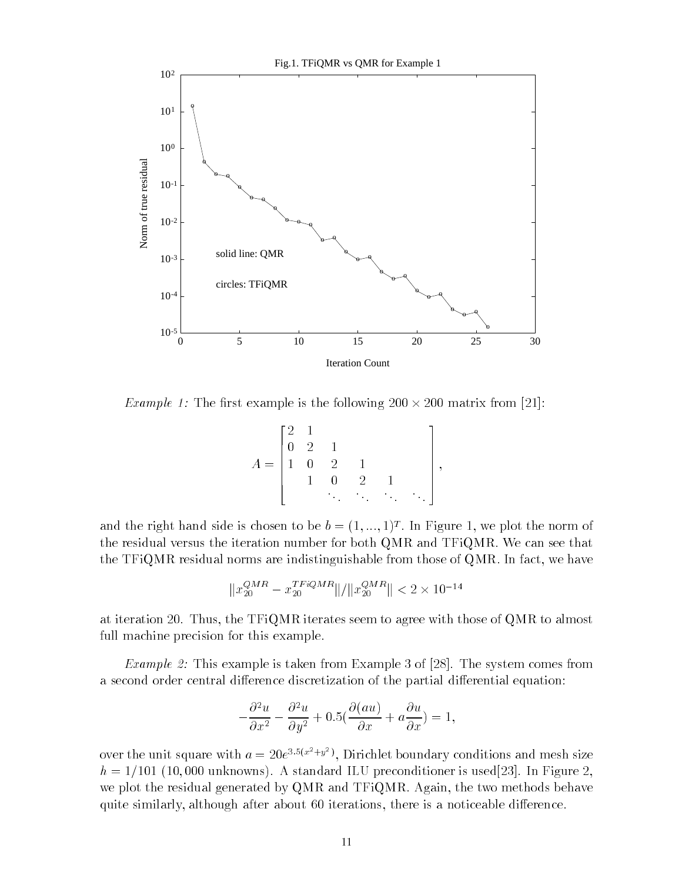

Example I: The HIS chainple is the following 200  $\land$  200 matrix from [21]:

|                    | $\Omega$     | $\overline{2}$ | $\mathbf{1}$   |               |    |    |  |
|--------------------|--------------|----------------|----------------|---------------|----|----|--|
| $\hspace{0.1cm} =$ | $\mathbf{1}$ | $\overline{0}$ | $\overline{2}$ |               |    |    |  |
|                    |              |                |                | $\mathcal{D}$ |    |    |  |
|                    |              |                | ٠              | $\sim$        | ٠. | ٠. |  |

and the right hand side is chosen to be  $\theta = (1, ..., 1)^{\perp}$ . In Figure 1, we plot the norm of the residual versus the iteration number for both QMR and TFiQMR. We can see that the TFiQMR residual norms are indistinguishable from those of QMR. In fact, we have

$$
||x_{20}^{QMR} - x_{20}^{TFiQMR}|| / ||x_{20}^{QMR}|| < 2 \times 10^{-14}
$$

at iteration 20. Thus, the TFiQMR iterates seem to agree with those of QMR to almost full machine precision for this example.

Example 2: This example is taken from Example 3 of [28]. The system comes from a second order central difference discretization of the partial differential equation:

$$
-\frac{\partial^2 u}{\partial x^2} - \frac{\partial^2 u}{\partial y^2} + 0.5(\frac{\partial (au)}{\partial x} + a\frac{\partial u}{\partial x}) = 1,
$$

over the unit square with  $a = 20e^{3.5(x^2+y^2)}$ , Dirichlet boundary conditions and mesh size  $h = 1/101$  (10,000 unknowns). A standard ILU preconditioner is used[23]. In Figure 2, we plot the residual generated by QMR and TFiQMR. Again, the two methods behave quite similarly, although after about 60 iterations, there is a noticeable difference.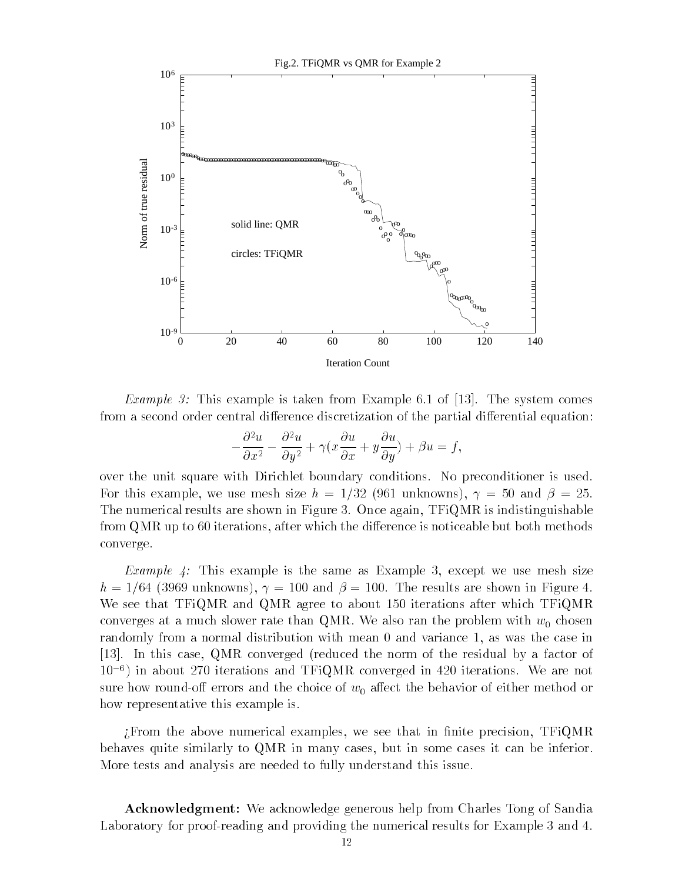

*Example 3:* This example is taken from Example 6.1 of [13]. The system comes from a second order central difference discretization of the partial differential equation:

$$
-\frac{\partial^2 u}{\partial x^2} - \frac{\partial^2 u}{\partial y^2} + \gamma (x \frac{\partial u}{\partial x} + y \frac{\partial u}{\partial y}) + \beta u = f,
$$

over the unit square with Dirichlet boundary conditions. No preconditioner is used. For this example, we use mesh size  $h = 1/32$  (961 unknowns),  $\gamma = 50$  and  $\beta = 25$ . The numerical results are shown in Figure 3. Once again, TFiQMR is indistinguishable from  $\mathbf{Q} \mathbf{M} \mathbf{R}$  up to 60 iterations, after which the difference is noticeable but both methods converge.

*Example 4:* This example is the same as Example 3, except we use mesh size  $h = 1/64$  (3969 unknowns),  $\gamma = 100$  and  $\beta = 100$ . The results are shown in Figure 4. We see that TFiQMR and QMR agree to about 150 iterations after which TFiQMR converges at a much slower rate than QMR. We also ran the problem with  $w_0$  chosen randomly from a normal distribution with mean 0 and variance 1, as was the case in [13]. In this case, QMR converged (reduced the norm of the residual by a factor of  $10^{-6}$ ) in about 270 iterations and TFiQMR converged in 420 iterations. We are not sure how round-off errors and the choice of  $w_0$  affect the behavior of either method or how representative this example is.

From the above numerical examples, we see that in finite precision,  $TFiQMR$ behaves quite similarly to QMR in many cases, but in some cases it can be inferior. More tests and analysis are needed to fully understand this issue.

Acknowledgment: We acknowledge generous help from Charles Tong of Sandia Laboratory for proof-reading and providing the numerical results for Example 3 and 4.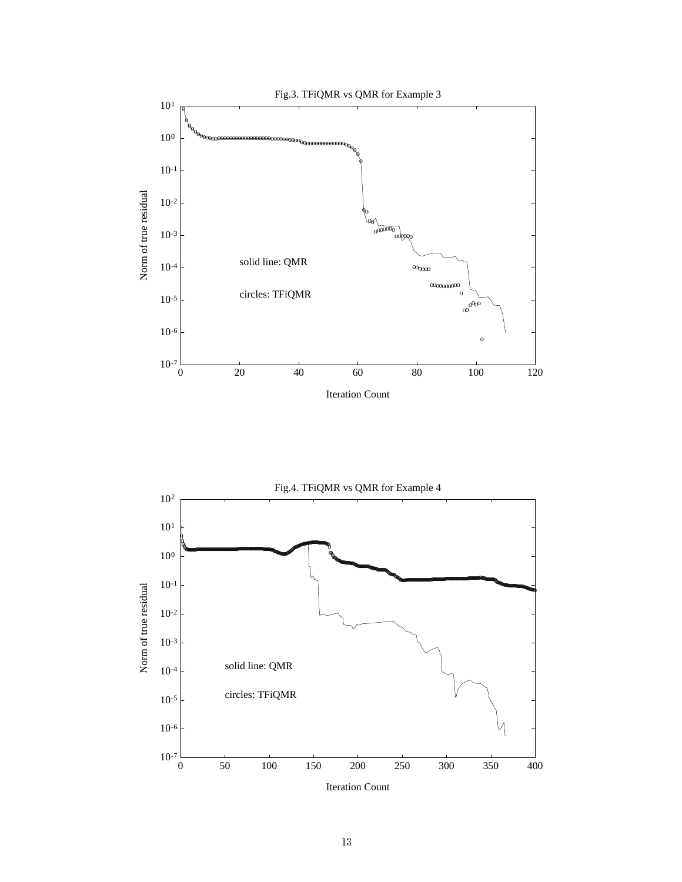

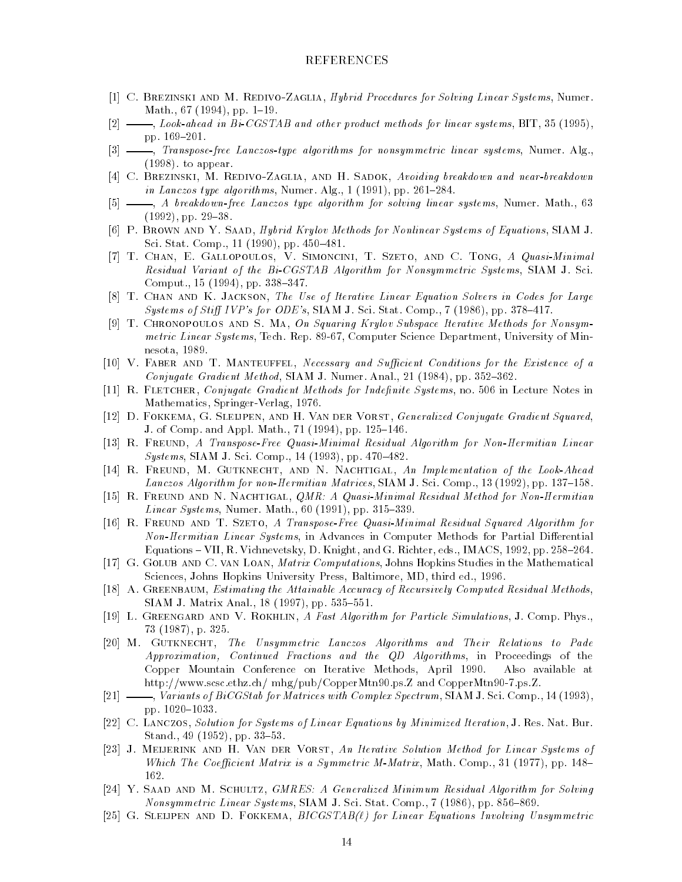## REFERENCES

- [1] C. BREZINSKI AND M. REDIVO-ZAGLIA, Hybrid Procedures for Solving Linear Systems, Numer. Math., 67 (1994), pp. 1-19.
- [2]  $\_\_\_\_\_\_\_\_\_\_\_\_\_\_\_\_\_\_\_\_\_\.\_\_\_\\_\_\_\_\_\.\_35$  (1995), pp. 169-201.
- [3]  $\frac{1}{3}$   $\frac{1}{3}$  Transpose-free Lanczos-type algorithms for nonsymmetric linear systems, Numer. Alg. (1998). to appear.
- [4] C. BREZINSKI, M. REDIVO-ZAGLIA, AND H. SADOK, Avoiding breakdown and near-breakdown in Lanczos type algorithms, Numer. Alg.,  $1(1991)$ , pp. 261-284.
- [5]  $\longrightarrow$ , A breakdown-free Lanczos type algorithm for solving linear systems, Numer. Math., 63  $(1992)$ , pp.  $29-38$ .
- [6] P. Brown and Y. Saad, Hybrid Krylov Methods for Nonlinear Systems of Equations, SIAM J. Sci. Stat. Comp., 11 (1990), pp. 450-481.
- [7] T. CHAN, E. GALLOPOULOS, V. SIMONCINI, T. SZETO, AND C. TONG, A Quasi-Minimal Residual Variant of the Bi-CGSTAB Algorithm for Nonsymmetric Systems, SIAM J. Sci. Comput.,  $15$  (1994), pp. 338-347.
- [8] T. Chan and K. Jackson, The Use of Iterative Linear Equation Solvers in Codes for Large Systems of Stiff IVP's for ODE's, SIAM J. Sci. Stat. Comp., 7 (1986), pp. 378-417.
- [9] T. Chronopoulos and S. Ma, On Squaring Krylov Subspace Iterative Methods for Nonsymmetric Linear Systems, Tech. Rep. 89-67, Computer Science Department, University of Minnesota, 1989.
- [10] V. FABER AND T. MANTEUFFEL, Necessary and Sufficient Conditions for the Existence of a Conjugate Gradient Method, SIAM J. Numer. Anal., 21 (1984), pp. 352-362.
- [11] R. FLETCHER, Conjugate Gradient Methods for Indefinite Systems, no. 506 in Lecture Notes in Mathematics, Springer-Verlag, 1976.
- [12] D. FOKKEMA, G. SLEIJPEN, AND H. VAN DER VORST, Generalized Conjugate Gradient Squared, J. of Comp. and Appl. Math., 71 (1994), pp. 125-146.
- [13] R. Freund, A Transpose-Free Quasi-Minimal Residual Algorithm for Non-Hermitian Linear  $Systems, SIAM J. Sci. Comp., 14 (1993), pp. 470-482.$
- [14] R. FREUND, M. GUTKNECHT, AND N. NACHTIGAL, An Implementation of the Look-Ahead Lanczos Algorithm for non-Hermitian Matrices, SIAM J. Sci. Comp., 13 (1992), pp. 137-158.
- [15] R. FREUND AND N. NACHTIGAL, *QMR: A Quasi-Minimal Residual Method for Non-Hermitian Linear Systems*, Numer. Math., 60 (1991), pp. 315-339.
- [16] R. Freund and T. Szeto, A Transpose-Free Quasi-Minimal Residual Squared Algorithm for Non-Hermitian Linear Systems, in Advances in Computer Methods for Partial Differential Equations - VII, R. Vichnevetsky, D. Knight, and G. Richter, eds., IMACS, 1992, pp. 258-264.
- [17] G. GOLUB AND C. VAN LOAN, Matrix Computations, Johns Hopkins Studies in the Mathematical Sciences, Johns Hopkins University Press, Baltimore, MD, third ed., 1996.
- [18] A. GREENBAUM, *Estimating the Attainable Accuracy of Recursively Computed Residual Methods*, SIAM J. Matrix Anal., 18 (1997), pp. 535-551.
- [19] L. GREENGARD AND V. ROKHLIN, A Fast Algorithm for Particle Simulations, J. Comp. Phys., 73 (1987), p. 325.
- [20] M. Gutknecht, The Unsymmetric Lanczos Algorithms and Their Relations to Pade Approximation, Continued Fractions and the QD Algorithms, in Proceedings of the Copper Mountain Conference on Iterative Methods, April 1990. Also available at http://www.scsc.ethz.ch/ mhg/pub/CopperMtn90.ps.Z and CopperMtn90-7.ps.Z.
- [21]  $\_\_\_\_\_\$  Variants of BiCGStab for Matrices with Complex Spectrum, SIAM J. Sci. Comp., 14 (1993), pp. 1020-1033.
- [22] C. Lanczos, Solution for Systems of Linear Equations by Minimized Iteration, J. Res. Nat. Bur. Stand., 49  $(1952)$ , pp. 33-53.
- [23] J. Meijerink and H. Van der Vorst, An Iterative Solution Method for Linear Systems of Which The Coefficient Matrix is a Symmetric M-Matrix, Math. Comp., 31 (1977), pp. 148-162.
- [24] Y. SAAD AND M. SCHULTZ, GMRES: A Generalized Minimum Residual Algorithm for Solving Nonsymmetric Linear Systems, SIAM J. Sci. Stat. Comp., 7 (1986), pp. 856-869.
- [25] G. SLEIJPEN AND D. FOKKEMA,  $BICGSTAB(\ell)$  for Linear Equations Involving Unsymmetric